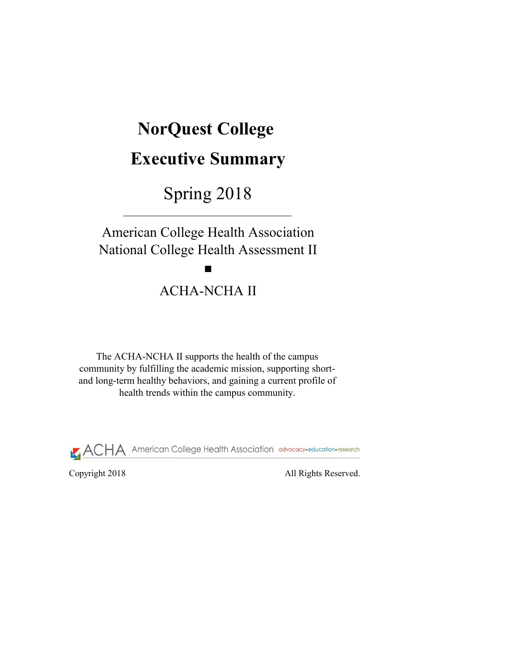Copyright 2018 All Rights Reserved.

# **NorQuest College**

# **Executive Summary**

Spring 2018

The ACHA-NCHA II supports the health of the campus community by fulfilling the academic mission, supporting shortand long-term healthy behaviors, and gaining a current profile of health trends within the campus community.



American College Health Association National College Health Assessment II

# ACHA-NCHA II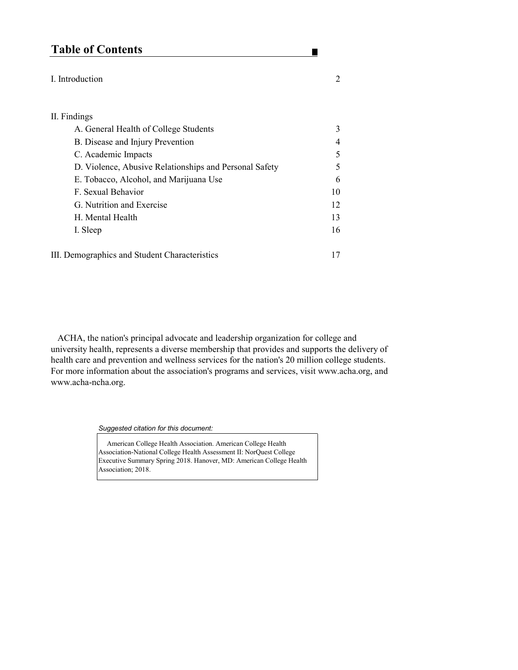# **Table of Contents**

#### I. Introduction 2

#### II. Findings

| A. General Health of College Students                  | 3              |
|--------------------------------------------------------|----------------|
| B. Disease and Injury Prevention                       | $\overline{4}$ |
| C. Academic Impacts                                    | 5              |
| D. Violence, Abusive Relationships and Personal Safety | 5              |
| E. Tobacco, Alcohol, and Marijuana Use                 | 6              |
| F. Sexual Behavior                                     | 10             |
| G. Nutrition and Exercise                              | 12             |
| H. Mental Health                                       | 13             |
| I. Sleep                                               | 16             |
|                                                        |                |

III. Demographics and Student Characteristics 17

Association-National College Health Assessment II: NorQuest College Executive Summary Spring 2018. Hanover, MD: American College Health Association; 2018.

*Suggested citation for this document:* 

American College Health Association. American College Health

п

 ACHA, the nation's principal advocate and leadership organization for college and university health, represents a diverse membership that provides and supports the delivery of health care and prevention and wellness services for the nation's 20 million college students. For more information about the association's programs and services, visit www.acha.org, and www.acha-ncha.org.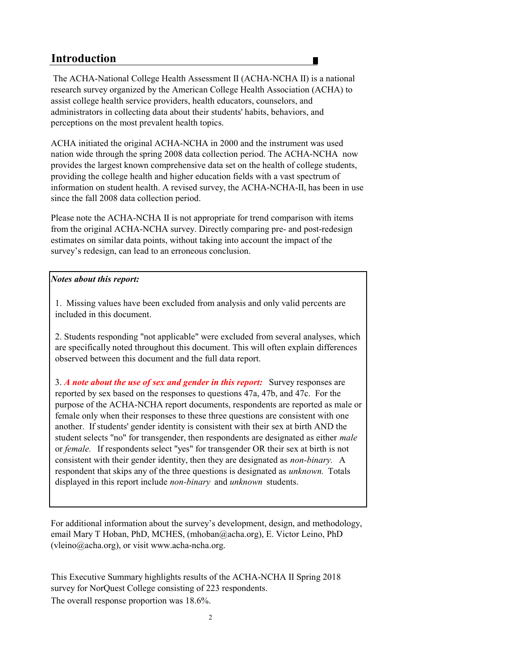# **Introduction**

#### *Notes about this report:*

2

3. *A note about the use of sex and gender in this report:* Survey responses are reported by sex based on the responses to questions 47a, 47b, and 47c. For the purpose of the ACHA-NCHA report documents, respondents are reported as male or female only when their responses to these three questions are consistent with one another. If students' gender identity is consistent with their sex at birth AND the student selects "no" for transgender, then respondents are designated as either *male*  or *female.* If respondents select "yes" for transgender OR their sex at birth is not consistent with their gender identity, then they are designated as *non-binary.* A respondent that skips any of the three questions is designated as *unknown.* Totals displayed in this report include *non-binary* and *unknown* students.

The overall response proportion was 18.6%. survey for NorQuest College consisting of 223 respondents. This Executive Summary highlights results of the ACHA-NCHA II Spring 2018

2. Students responding "not applicable" were excluded from several analyses, which are specifically noted throughout this document. This will often explain differences observed between this document and the full data report.

 The ACHA-National College Health Assessment II (ACHA-NCHA II) is a national research survey organized by the American College Health Association (ACHA) to assist college health service providers, health educators, counselors, and administrators in collecting data about their students' habits, behaviors, and perceptions on the most prevalent health topics.

ACHA initiated the original ACHA-NCHA in 2000 and the instrument was used nation wide through the spring 2008 data collection period. The ACHA-NCHA now provides the largest known comprehensive data set on the health of college students, providing the college health and higher education fields with a vast spectrum of information on student health. A revised survey, the ACHA-NCHA-II, has been in use since the fall 2008 data collection period.

Please note the ACHA-NCHA II is not appropriate for trend comparison with items from the original ACHA-NCHA survey. Directly comparing pre- and post-redesign estimates on similar data points, without taking into account the impact of the survey's redesign, can lead to an erroneous conclusion.

For additional information about the survey's development, design, and methodology, email Mary T Hoban, PhD, MCHES, (mhoban@acha.org), E. Victor Leino, PhD (vleino@acha.org), or visit www.acha-ncha.org.

1. Missing values have been excluded from analysis and only valid percents are included in this document.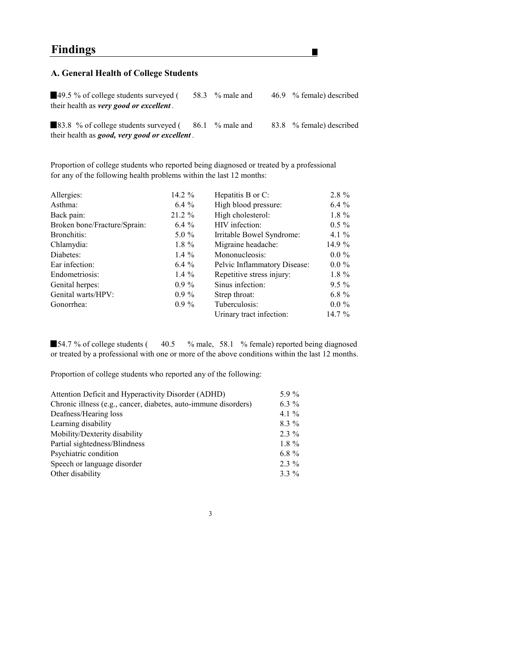# **Findings**

### **A. General Health of College Students**

49.5 % of college students surveyed (58.3 % male and 46.9 % female) described their health as *very good or excellent .*

H

83.8 % of college students surveyed (  $86.1$  % male and  $83.8$  % female) described their health as *good, very good or excellent .*

Proportion of college students who reported being diagnosed or treated by a professional for any of the following health problems within the last 12 months:

54.7 % of college students (40.5 % male, 58.1 % female) reported being diagnosed or treated by a professional with one or more of the above conditions within the last 12 months.

| Allergies:                   | 14.2 $\%$ | Hepatitis B or C:                   | $2.8\%$  |
|------------------------------|-----------|-------------------------------------|----------|
| Asthma:                      | $6.4\%$   | High blood pressure:                | $6.4\%$  |
| Back pain:                   | 21.2 %    | High cholesterol:                   | $1.8\%$  |
| Broken bone/Fracture/Sprain: | $6.4\%$   | HIV infection:                      | $0.5\%$  |
| Bronchitis:                  | $5.0\%$   | Irritable Bowel Syndrome:           | 4.1 $\%$ |
| Chlamydia:                   | $1.8 \%$  | Migraine headache:                  | 14.9 %   |
| Diabetes:                    | 1.4 $\%$  | Mononucleosis:                      | $0.0\%$  |
| Ear infection:               | $6.4\%$   | <b>Pelvic Inflammatory Disease:</b> | $0.0\%$  |
| Endometriosis:               | 1.4 $\%$  | Repetitive stress injury:           | $1.8 \%$ |
| Genital herpes:              | $0.9\%$   | Sinus infection:                    | $9.5\%$  |
| Genital warts/HPV:           | $0.9\%$   | Strep throat:                       | $6.8\%$  |
| Gonorrhea:                   | $0.9\%$   | Tuberculosis:                       | $0.0\%$  |
|                              |           | Urinary tract infection:            | 14.7 $%$ |
|                              |           |                                     |          |

Proportion of college students who reported any of the following:

| Attention Deficit and Hyperactivity Disorder (ADHD)             | 5.9 $\%$ |
|-----------------------------------------------------------------|----------|
| Chronic illness (e.g., cancer, diabetes, auto-immune disorders) | 6.3 $\%$ |
| Deafness/Hearing loss                                           | 4.1 $\%$ |
| Learning disability                                             | $8.3\%$  |
| Mobility/Dexterity disability                                   | $2.3\%$  |
| Partial sightedness/Blindness                                   | $1.8\%$  |
| Psychiatric condition                                           | 6.8 $\%$ |
| Speech or language disorder                                     | $2.3\%$  |
| Other disability                                                | $3.3\%$  |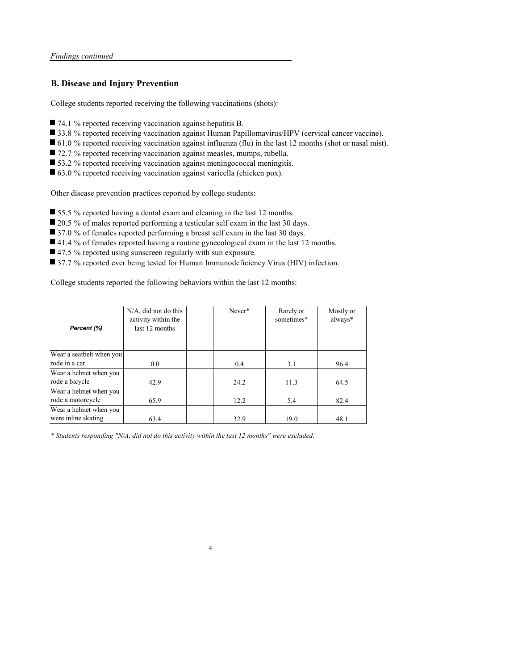#### **B. Disease and Injury Prevention**

College students reported receiving the following vaccinations (shots):

- 74.1 % reported receiving vaccination against hepatitis B.
- 33.8 % reported receiving vaccination against Human Papillomavirus/HPV (cervical cancer vaccine).
- 61.0 % reported receiving vaccination against influenza (flu) in the last 12 months (shot or nasal mist).
- 72.7 % reported receiving vaccination against measles, mumps, rubella.
- 53.2 % reported receiving vaccination against meningococcal meningitis.
- 63.0 % reported receiving vaccination against varicella (chicken pox).

Other disease prevention practices reported by college students:

- 55.5 % reported having a dental exam and cleaning in the last 12 months.
- 20.5 % of males reported performing a testicular self exam in the last 30 days.
- 37.0 % of females reported performing a breast self exam in the last 30 days.
- 41.4 % of females reported having a routine gynecological exam in the last 12 months.
- 47.5 % reported using sunscreen regularly with sun exposure.
- 37.7 % reported ever being tested for Human Immunodeficiency Virus (HIV) infection.

College students reported the following behaviors within the last 12 months:

4

| Percent (%)              | $N/A$ , did not do this<br>activity within the<br>last 12 months | Never* | Rarely or<br>sometimes* | Mostly or<br>always* |
|--------------------------|------------------------------------------------------------------|--------|-------------------------|----------------------|
| Wear a seatbelt when you |                                                                  |        |                         |                      |
| rode in a car            | 0.0                                                              | 0.4    | 3.1                     | 96.4                 |
| Wear a helmet when you   |                                                                  |        |                         |                      |
| rode a bicycle           | 42.9                                                             | 24.2   | 11.3                    | 64.5                 |
| Wear a helmet when you   |                                                                  |        |                         |                      |
| rode a motorcycle        | 65.9                                                             | 12.2   | 5.4                     | 82.4                 |
| Wear a helmet when you   |                                                                  |        |                         |                      |
| were inline skating      | 63.4                                                             | 32.9   | 19.0                    | 48.1                 |

*\* Students responding "N/A, did not do this activity within the last 12 months" were excluded.*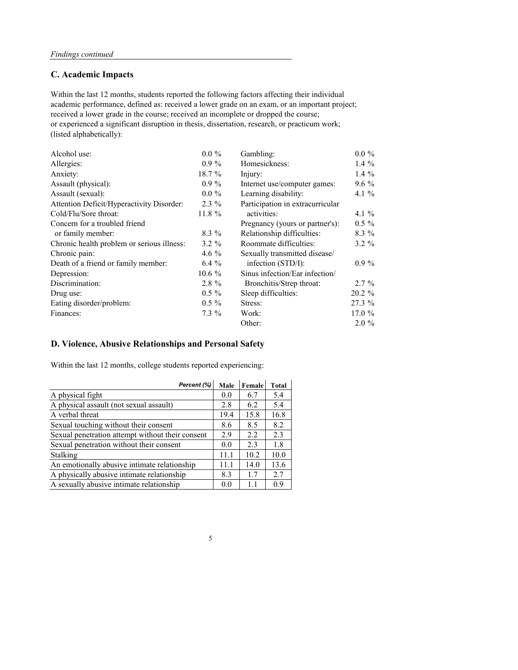### **C. Academic Impacts**

| Alcohol use:                                     | $0.0 \%$  | Gambling:                        | $0.0 \%$  |
|--------------------------------------------------|-----------|----------------------------------|-----------|
| Allergies:                                       | $0.9\%$   | Homesickness:                    | 1.4 $%$   |
| Anxiety:                                         | 18.7 %    | Injury:                          | 1.4 $%$   |
| Assault (physical):                              | $0.9\%$   | Internet use/computer games:     | $9.6\%$   |
| Assault (sexual):                                | $0.0 \%$  | Learning disability:             | 4.1 $\%$  |
| <b>Attention Deficit/Hyperactivity Disorder:</b> | $2.3\%$   | Participation in extracurricular |           |
| Cold/Flu/Sore throat:                            | $11.8 \%$ | activities:                      | 4.1 $\%$  |
| Concern for a troubled friend                    |           | Pregnancy (yours or partner's):  | $0.5 \%$  |
| or family member:                                | $8.3\%$   | Relationship difficulties:       | $8.3\%$   |
| Chronic health problem or serious illness:       | $3.2 \%$  | Roommate difficulties:           | $3.2 \%$  |
| Chronic pain:                                    | 4.6 $\%$  | Sexually transmitted disease/    |           |
| Death of a friend or family member:              | $6.4\%$   | infection (STD/I):               | $0.9\%$   |
| Depression:                                      | $10.6\%$  | Sinus infection/Ear infection/   |           |
| Discrimination:                                  | $2.8 \%$  | Bronchitis/Strep throat:         | $2.7\%$   |
| Drug use:                                        | $0.5 \%$  | Sleep difficulties:              | $20.2 \%$ |
| Eating disorder/problem:                         | $0.5 \%$  | Stress:                          | 27.3 %    |
| Finances:                                        | $7.3\%$   | Work:                            | 17.0%     |
|                                                  |           | Other:                           | $2.0 \%$  |

academic performance, defined as: received a lower grade on an exam, or an important project; received a lower grade in the course; received an incomplete or dropped the course; or experienced a significant disruption in thesis, dissertation, research, or practicum work; (listed alphabetically): Within the last 12 months, students reported the following factors affecting their individual

### **D. Violence, Abusive Relationships and Personal Safety**

Within the last 12 months, college students reported experiencing:

| Percent (%)                                      | <b>Male</b> | Female         | <b>Total</b> |
|--------------------------------------------------|-------------|----------------|--------------|
| A physical fight                                 | 0.0         | 6.7            | 5.4          |
| A physical assault (not sexual assault)          | 2.8         | 6.2            | 5.4          |
| A verbal threat                                  | 19.4        | 15.8           | 16.8         |
| Sexual touching without their consent            | 8.6         | 8.5            | 8.2          |
| Sexual penetration attempt without their consent | 2.9         | 2.2            | 2.3          |
| Sexual penetration without their consent         | 0.0         | 2.3            | 1.8          |
| Stalking                                         | 11.1        | 10.2           | 10.0         |
| An emotionally abusive intimate relationship     | 11.1        | 14.0           | 13.6         |
| A physically abusive intimate relationship       | 8.3         | 1.7            | 2.7          |
| A sexually abusive intimate relationship         | 0.0         | 1 <sup>1</sup> | 0.9          |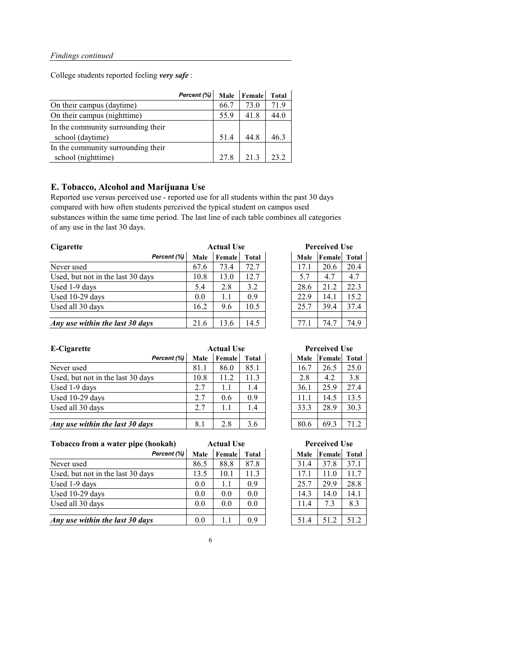College students reported feeling *very safe* :

|                                    | Percent (%) |      | Male Female | <b>Total</b> |
|------------------------------------|-------------|------|-------------|--------------|
| On their campus (daytime)          |             | 66.7 | 73.0        | 71.9         |
| On their campus (nighttime)        |             | 55.9 | 41.8        | 44.0         |
| In the community surrounding their |             |      |             |              |
| school (daytime)                   |             | 51.4 | 44.8        | 46.3         |
| In the community surrounding their |             |      |             |              |
| school (nighttime)                 |             | 27.8 | 21.3        | 23.2         |

### **E. Tobacco, Alcohol and Marijuana Use**

Reported use versus perceived use - reported use for all students within the past 30 days compared with how often students perceived the typical student on campus used substances within the same time period. The last line of each table combines all categories of any use in the last 30 days.

| <b>Cigarette</b>                  |             | <b>Actual Use</b> |              |  |             | <b>Perceived Use</b> |      |  |
|-----------------------------------|-------------|-------------------|--------------|--|-------------|----------------------|------|--|
| Percent (%)                       | <b>Male</b> | <b>Female</b>     | <b>Total</b> |  | <b>Male</b> | <b>Female</b> Total  |      |  |
| Never used                        | 67.6        | 73.4              | 72.7         |  | 17.1        | 20.6                 | 20.4 |  |
| Used, but not in the last 30 days | 10.8        | 13.0              | 12.7         |  | 5.7         | 4.7                  | 4.7  |  |
| Used 1-9 days                     | 5.4         | 2.8               | 3.2          |  | 28.6        | 21.2                 | 22.3 |  |
| Used 10-29 days                   | 0.0         | 1.1               | 0.9          |  | 22.9        | 14.1                 | 15.2 |  |
| Used all 30 days                  | 16.2        | 9.6               | 10.5         |  | 25.7        | 39.4                 | 37.4 |  |
|                                   |             |                   |              |  |             |                      |      |  |
| Any use within the last 30 days   | 21.6        | 13.6              | 14.5         |  | 77.1        | 74.7                 | 74.9 |  |

*Male* **Female Total Perceived Use** 

| E-Cigarette                       |             | <b>Actual Use</b> |              |  |             | <b>Perceived Use</b> |      |  |
|-----------------------------------|-------------|-------------------|--------------|--|-------------|----------------------|------|--|
| Percent (%)                       | <b>Male</b> | <b>Female</b>     | <b>Total</b> |  | <b>Male</b> | <b>Female</b> Total  |      |  |
| Never used                        | 81.1        | 86.0              | 85.1         |  | 16.7        | 26.5                 | 25.0 |  |
| Used, but not in the last 30 days | 10.8        | 11.2              | 11.3         |  | 2.8         | 4.2                  | 3.8  |  |
| Used 1-9 days                     | 2.7         | 1.1               | 1.4          |  | 36.1        | 25.9                 | 27.4 |  |
| Used 10-29 days                   | 2.7         | 0.6               | 0.9          |  | 11.1        | 14.5                 | 13.5 |  |
| Used all 30 days                  | 2.7         | 1.1               | 1.4          |  | 33.3        | 28.9                 | 30.3 |  |
|                                   |             |                   |              |  |             |                      |      |  |
| Any use within the last 30 days   | 8.1         | 2.8               | 3.6          |  | 80.6        | 69.3                 | 71.2 |  |

**Tobacco from a water pipe (hookah)**

| Percent (%)                       | <b>Male</b> | <b>Female</b> | <b>Total</b> | <b>Male</b> | <b>Female</b> | Total |
|-----------------------------------|-------------|---------------|--------------|-------------|---------------|-------|
| Never used                        | 86.5        | 88.8          | 87.8         | 31.4        | 37.8          | 37.1  |
| Used, but not in the last 30 days | 13.5        | 10.1          | 11.3         | 17.1        | 11.0          | 11.7  |
| Used 1-9 days                     | 0.0         | 1.1           | 0.9          | 25.7        | 29.9          | 28.8  |
| Used 10-29 days                   | 0.0         | 0.0           | 0.0          | 14.3        | 14.0          | 14.1  |
| Used all 30 days                  | 0.0         | 0.0           | 0.0          | 11.4        | 7.3           | 8.3   |
|                                   |             |               |              |             |               |       |
| Any use within the last 30 days   | 0.0         | 1.1           | 0.9          | 51.4        | 51.2          | 51.2  |

| <b>Male</b> | Female | <b>Total</b> |
|-------------|--------|--------------|
| 31.4        | 37.8   | 37.1         |
| 17.1        | 11.0   | 11.7         |
| 25.7        | 29.9   | 28.8         |
| 14.3        | 14.0   | 14.1         |
| 11.4        | 7.3    | 8.3          |
|             |        |              |
| 51.4        | 51.2   | 51.2         |

6

**Perceived Use**

| <b>Actual Use</b> |        |              |  | <b>Perceived Use</b> |        |              |  |
|-------------------|--------|--------------|--|----------------------|--------|--------------|--|
|                   | Female | <b>Total</b> |  | <b>Male</b>          | Female | <b>Total</b> |  |
|                   | 86.0   | 85.1         |  | 16.7                 | 26.5   | 25.0         |  |
|                   | 11.2   | 11.3         |  | 2.8                  | 4.2    | 3.8          |  |
|                   | 1.1    | 1.4          |  | 36.1                 | 25.9   | 27.4         |  |
|                   | 0.6    | 0.9          |  | 11.1                 | 14.5   | 13.5         |  |
|                   | 1.1    | 1.4          |  | 33.3                 | 28.9   | 30.3         |  |
|                   |        |              |  |                      |        |              |  |
|                   | 2.8    | 3.6          |  | 80.6                 | 69.3   | 71.2         |  |

**Actual Use**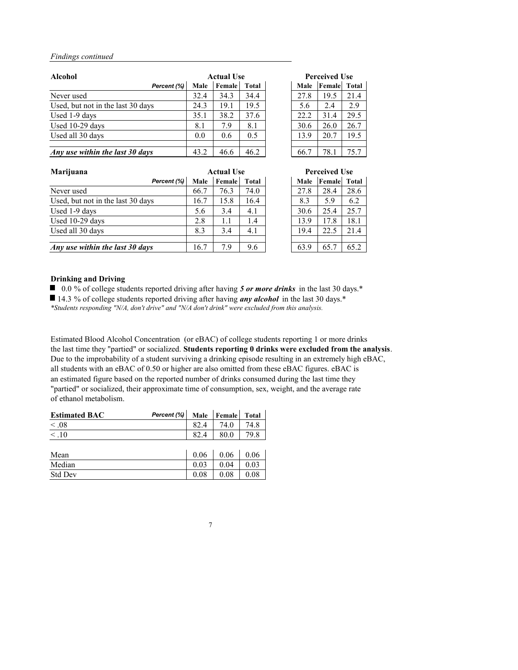| <b>Alcohol</b>                    |             | <b>Actual Use</b> |              |  | <b>Perceived Use</b> |        |       |  |
|-----------------------------------|-------------|-------------------|--------------|--|----------------------|--------|-------|--|
| Percent (%)                       | <b>Male</b> | Female            | <b>Total</b> |  | <b>Male</b>          | Female | Total |  |
| Never used                        | 32.4        | 34.3              | 34.4         |  | 27.8                 | 19.5   | 21.4  |  |
| Used, but not in the last 30 days | 24.3        | 19.1              | 19.5         |  | 5.6                  | 2.4    | 2.9   |  |
| Used 1-9 days                     | 35.1        | 38.2              | 37.6         |  | 22.2                 | 31.4   | 29.5  |  |
| Used 10-29 days                   | 8.1         | 7.9               | 8.1          |  | 30.6                 | 26.0   | 26.7  |  |
| Used all 30 days                  | 0.0         | 0.6               | 0.5          |  | 13.9                 | 20.7   | 19.5  |  |
|                                   |             |                   |              |  |                      |        |       |  |
| Any use within the last 30 days   | 43.2        | 46.6              | 46.2         |  | 66.7                 | 78.1   | 75.7  |  |

#### **Drinking and Driving**

■ 0.0 % of college students reported driving after having 5 or more drinks in the last 30 days.<sup>\*</sup>

■ 14.3 % of college students reported driving after having *any alcohol* in the last 30 days.<sup>\*</sup>

| Marijuana                         |             | <b>Actual Use</b> |              |             | <b>Perceived Use</b> |      |
|-----------------------------------|-------------|-------------------|--------------|-------------|----------------------|------|
| Percent (%)                       | <b>Male</b> | Female            | <b>Total</b> | <b>Male</b> | <b>Female</b> Total  |      |
| Never used                        | 66.7        | 76.3              | 74.0         | 27.8        | 28.4                 | 28.6 |
| Used, but not in the last 30 days | 16.7        | 15.8              | 16.4         | 8.3         | 5.9                  | 6.2  |
| Used 1-9 days                     | 5.6         | 3.4               | 4.1          | 30.6        | 25.4                 | 25.7 |
| Used 10-29 days                   | 2.8         | 1.1               | 1.4          | 13.9        | 17.8                 | 18.1 |
| Used all 30 days                  | 8.3         | 3.4               | 4.1          | 19.4        | 22.5                 | 21.4 |
|                                   |             |                   |              |             |                      |      |
| Any use within the last 30 days   | 16.7        | 7.9               | 9.6          | 63.9        | 65.7                 | 65.2 |

Estimated Blood Alcohol Concentration (or eBAC) of college students reporting 1 or more drinks the last time they "partied" or socialized. **Students reporting 0 drinks were excluded from the analysis**. Due to the improbability of a student surviving a drinking episode resulting in an extremely high eBAC, all students with an eBAC of 0.50 or higher are also omitted from these eBAC figures. eBAC is an estimated figure based on the reported number of drinks consumed during the last time they "partied" or socialized, their approximate time of consumption, sex, weight, and the average rate of ethanol metabolism.

| <b>Estimated BAC</b> | Percent $(\%)$ | Male Female Total |      |
|----------------------|----------------|-------------------|------|
| $\leq .08$           |                | 74.0              | 74.8 |
|                      |                | 80.0              | 79.8 |

| Mean           | 0.06 | 0.06 | 0.06     |
|----------------|------|------|----------|
| Median         | ∩    | 0.04 | $0.03\,$ |
| <b>Std Dev</b> | 0.08 | 0.08 |          |

7

| <b>Actual Use</b> |              | <b>Perceived Use</b> |        |              |  |
|-------------------|--------------|----------------------|--------|--------------|--|
| Female            | <b>Total</b> | <b>Male</b>          | Female | <b>Total</b> |  |
| 34.3              | 34.4         | 27.8                 | 19.5   | 21.4         |  |
| 19.1              | 19.5         | 5.6                  | 2.4    | 2.9          |  |
| 38.2              | 37.6         | 22.2                 | 31.4   | 29.5         |  |
| 7.9               | 8.1          | 30.6                 | 26.0   | 26.7         |  |
| 0.6               | 0.5          | 13.9                 | 20.7   | 19.5         |  |
|                   |              |                      |        |              |  |
| 46.6              | 46.2         | 66.7                 | 78.1   | 75.7         |  |

| <b>Perceived Use</b> |                     |      |  |  |  |
|----------------------|---------------------|------|--|--|--|
| <b>Male</b>          | <b>Female</b> Total |      |  |  |  |
| 27.8                 | 28.4                | 28.6 |  |  |  |
| 8.3                  | 5.9                 | 6.2  |  |  |  |
| 30.6                 | 25.4                | 25.7 |  |  |  |
| 13.9                 | 17.8                | 18.1 |  |  |  |
| 19.4                 | 22.5                | 21.4 |  |  |  |
|                      |                     |      |  |  |  |
| 63.9                 | 65.7                | 65.2 |  |  |  |

*\*Students responding "N/A, don't drive" and "N/A don't drink" were excluded from this analysis.*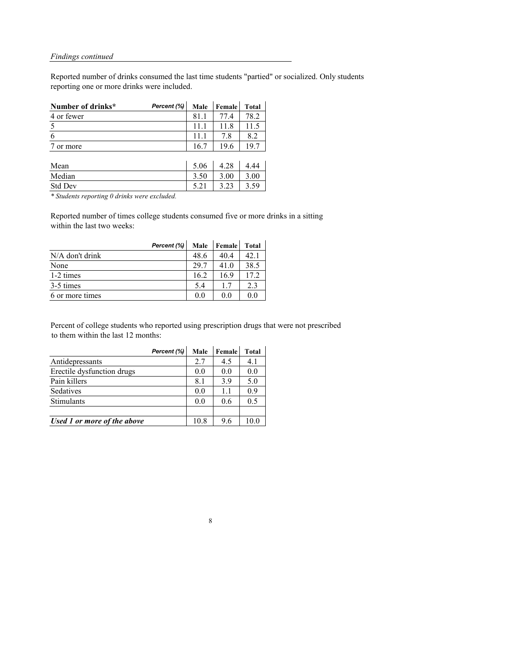Reported number of drinks consumed the last time students "partied" or socialized. Only students reporting one or more drinks were included.

| Number of drinks* | Percent (%) Male Female Total |      |      |      |
|-------------------|-------------------------------|------|------|------|
| 4 or fewer        |                               | 81.1 | 77.4 | 78.2 |
|                   |                               | 11.1 | 11.8 |      |
|                   |                               | 11.1 | 7.8  |      |
| or more           |                               | 16.7 | 19.6 |      |

| Mean           | 5.06 | 4.28 | .44  |
|----------------|------|------|------|
| Median         | 3.50 | 3.00 | 3.00 |
| <b>Std Dev</b> | J.Z1 | 3.23 | 3.59 |

*\* Students reporting 0 drinks were excluded.*

Reported number of times college students consumed five or more drinks in a sitting within the last two weeks:

|                   | Percent (%) | <b>Male</b> | <b>Female</b> | <b>Total</b> |
|-------------------|-------------|-------------|---------------|--------------|
| $N/A$ don't drink |             | 48.6        | 40.4          | 42.1         |
| None              |             | 29.7        | 41.0          | 38.5         |
| 1-2 times         |             | 16.2        | 16.9          | 17.2         |
| 3-5 times         |             | 5.4         | 1.7           | 2.3          |
| 6 or more times   |             | 0.0         | ()()          | $( )_1$      |

Percent of college students who reported using prescription drugs that were not prescribed to them within the last 12 months:

|                             | Percent (%) | <b>Male</b> | Female | <b>Total</b> |
|-----------------------------|-------------|-------------|--------|--------------|
| Antidepressants             |             | 2.7         | 4.5    | 4.1          |
| Erectile dysfunction drugs  |             | 0.0         | 0.0    | 0.0          |
| Pain killers                |             | 8.1         | 3.9    | 5.0          |
| Sedatives                   |             | 0.0         | 1.1    | 0.9          |
| Stimulants                  |             | 0.0         | 0.6    | 0.5          |
|                             |             |             |        |              |
| Used 1 or more of the above |             | 10.8        | 9.6    |              |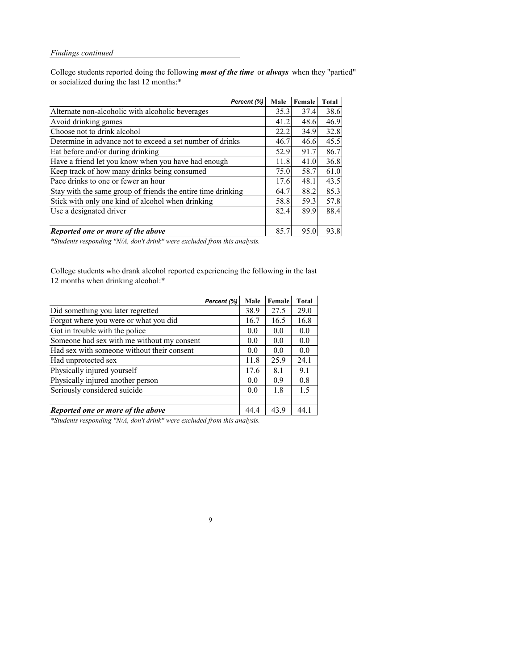College students reported doing the following *most of the time* or *always* when they "partied" or socialized during the last 12 months:\*

| Percent (%)                                                  | <b>Male</b> | Female | <b>Total</b> |
|--------------------------------------------------------------|-------------|--------|--------------|
| Alternate non-alcoholic with alcoholic beverages             | 35.3        | 37.4   | 38.6         |
| Avoid drinking games                                         | 41.2        | 48.6   | 46.9         |
| Choose not to drink alcohol                                  | 22.2        | 34.9   | 32.8         |
| Determine in advance not to exceed a set number of drinks    | 46.7        | 46.6   | 45.5         |
| Eat before and/or during drinking                            | 52.9        | 91.7   | 86.7         |
| Have a friend let you know when you have had enough          | 11.8        | 41.0   | 36.8         |
| Keep track of how many drinks being consumed                 | 75.0        | 58.7   | 61.0         |
| Pace drinks to one or fewer an hour                          | 17.6        | 48.1   | 43.5         |
| Stay with the same group of friends the entire time drinking | 64.7        | 88.2   | 85.3         |
| Stick with only one kind of alcohol when drinking            | 58.8        | 59.3   | 57.8         |
| Use a designated driver                                      | 82.4        | 89.9   | 88.4         |
|                                                              |             |        |              |
| Reported one or more of the above                            | 85.7        | 95.0   | 93.8         |

College students who drank alcohol reported experiencing the following in the last 12 months when drinking alcohol:\*

|                                            | Percent (%) | <b>Male</b> | Female | <b>Total</b> |
|--------------------------------------------|-------------|-------------|--------|--------------|
| Did something you later regretted          |             | 38.9        | 27.5   | 29.0         |
| Forgot where you were or what you did      |             | 16.7        | 16.5   | 16.8         |
| Got in trouble with the police             |             | 0.0         | 0.0    | 0.0          |
| Someone had sex with me without my consent |             | 0.0         | 0.0    | 0.0          |
| Had sex with someone without their consent |             | 0.0         | 0.0    | 0.0          |
| Had unprotected sex                        |             | 11.8        | 25.9   | 24.1         |
| Physically injured yourself                |             | 17.6        | 8.1    | 9.1          |
| Physically injured another person          |             | 0.0         | 0.9    | 0.8          |
| Seriously considered suicide               |             | 0.0         | 1.8    | 1.5          |
|                                            |             |             |        |              |
| Reported one or more of the above          |             | 44.4        | 43.9   | 44.          |

9

*\*Students responding "N/A, don't drink" were excluded from this analysis.*

*\*Students responding "N/A, don't drink" were excluded from this analysis.*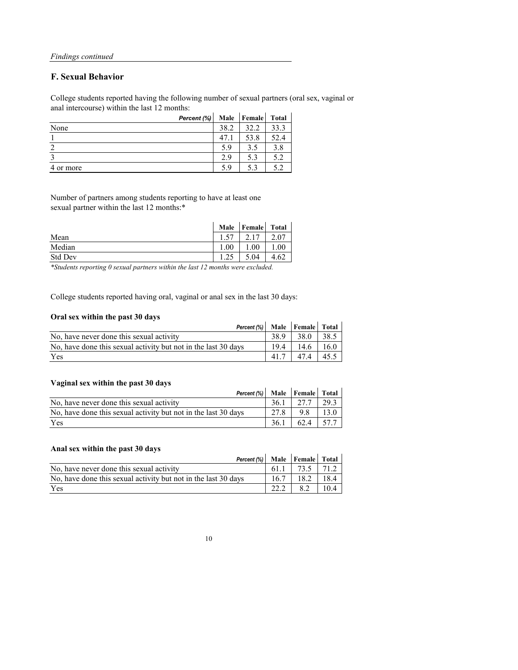#### **F. Sexual Behavior**

College students reported having the following number of sexual partners (oral sex, vaginal or anal intercourse) within the last 12 months:

|           | Percent (%) | <b>Male</b> | <b>Female</b> | <b>Total</b> |
|-----------|-------------|-------------|---------------|--------------|
| None      |             | 38.2        | 32.2          | 33.3         |
|           |             | 47.1        | 53.8          | 52.4         |
|           |             | 5.9         | 3.5           | 3.8          |
|           |             | 2.9         | 5.3           | 5.2          |
| 4 or more |             | 5.9         | 5.3           | 52           |

Number of partners among students reporting to have at least one sexual partner within the last 12 months:\*

|                | <b>Male</b> | Female | <b>Total</b> |
|----------------|-------------|--------|--------------|
| Mean           |             | ◠      | 2.07         |
| Median         | 00.1        | .00    | $00\,$       |
| <b>Std Dev</b> | $\bigcap$   | 5.04   | 4.62         |

College students reported having oral, vaginal or anal sex in the last 30 days:

#### **Oral sex within the past 30 days**

| Percent (%)   Male   Female   Total                            |                   |      |      |
|----------------------------------------------------------------|-------------------|------|------|
| No, have never done this sexual activity                       | 38.9 <sub>1</sub> | 38.0 | 38.5 |
| No, have done this sexual activity but not in the last 30 days | $19.4$            | 14.6 | 16.0 |
| Yes                                                            | 417               | 47.4 | 45.5 |

#### **Vaginal sex within the past 30 days**

| <u>Vaginal sex within the past 50 days</u>                     |      |               |      |
|----------------------------------------------------------------|------|---------------|------|
| Percent $(\%)$ Male Female Total                               |      |               |      |
| No, have never done this sexual activity                       | 36.1 | 27.7          | 29.3 |
| No, have done this sexual activity but not in the last 30 days | 27.8 | 98            | 13.0 |
| Yes                                                            | 36.1 | $62.4$   57.7 |      |

#### **Anal sex within the past 30 days**

| Percent (%)   Male   Female   Total                            |      |           |      |
|----------------------------------------------------------------|------|-----------|------|
| No, have never done this sexual activity                       | 61.1 | 73.5 71.2 |      |
| No, have done this sexual activity but not in the last 30 days | 16.7 | 18.2      | 18.4 |
| Yes                                                            |      |           | 10.4 |

10

*\*Students reporting 0 sexual partners within the last 12 months were excluded.*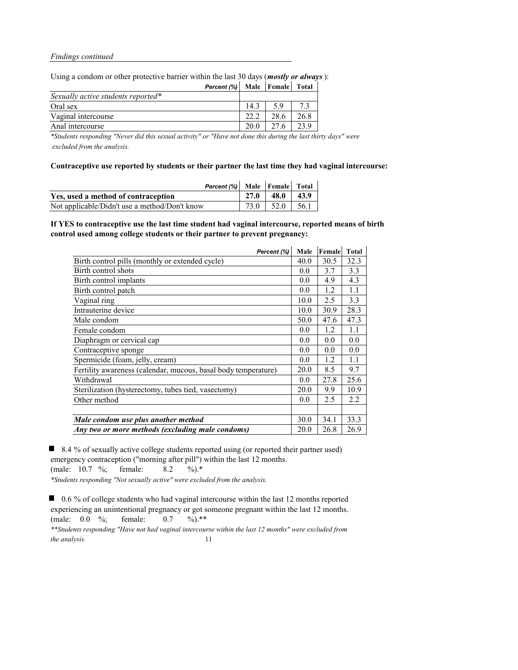Using a condom or other protective barrier within the last 30 days (*mostly or always*):

| <b>Percent (%)</b> Male Female Total |      |      |      |
|--------------------------------------|------|------|------|
| Sexually active students reported*   |      |      |      |
| Oral sex                             | 14.3 | 59   |      |
| Vaginal intercourse                  | 222  | 28.6 | 26.8 |
| Anal intercourse                     | 20.0 | 27.6 | 23.9 |

*\*Students responding "Never did this sexual activity" or "Have not done this during the last thirty days" were excluded from the analysis.*

**Contraceptive use reported by students or their partner the last time they had vaginal intercourse:**

| Percent (%) Male Female Total                 |                      |                    |
|-----------------------------------------------|----------------------|--------------------|
| Yes, used a method of contraception           | $27.0$   48.0   43.9 |                    |
| Not applicable/Didn't use a method/Don't know |                      | 73.0   52.0   56.1 |

**If YES to contraceptive use the last time student had vaginal intercourse, reported means of birth control used among college students or their partner to prevent pregnancy:**

*\*\*Students responding "Have not had vaginal intercourse within the last 12 months" were excluded from the analysis.* 11

| Percent (%)                                                    | Male | Female | <b>Total</b> |
|----------------------------------------------------------------|------|--------|--------------|
| Birth control pills (monthly or extended cycle)                | 40.0 | 30.5   | 32.3         |
| Birth control shots                                            | 0.0  | 3.7    | 3.3          |
| Birth control implants                                         | 0.0  | 4.9    | 4.3          |
| Birth control patch                                            | 0.0  | 1.2    | 1.1          |
| Vaginal ring                                                   | 10.0 | 2.5    | 3.3          |
| Intrauterine device                                            | 10.0 | 30.9   | 28.3         |
| Male condom                                                    | 50.0 | 47.6   | 47.3         |
| Female condom                                                  | 0.0  | 1.2    | 1.1          |
| Diaphragm or cervical cap                                      | 0.0  | 0.0    | 0.0          |
| Contraceptive sponge                                           | 0.0  | 0.0    | 0.0          |
| Spermicide (foam, jelly, cream)                                | 0.0  | 1.2    | 1.1          |
| Fertility awareness (calendar, mucous, basal body temperature) | 20.0 | 8.5    | 9.7          |
| Withdrawal                                                     | 0.0  | 27.8   | 25.6         |
| Sterilization (hysterectomy, tubes tied, vasectomy)            | 20.0 | 9.9    | 10.9         |
| Other method                                                   | 0.0  | 2.5    | 2.2          |
|                                                                |      |        |              |
| Male condom use plus another method                            | 30.0 | 34.1   | 33.3         |
| Any two or more methods (excluding male condoms)               | 20.0 | 26.8   | 26.9         |

8.4 % of sexually active college students reported using (or reported their partner used) emergency contraception ("morning after pill") within the last 12 months. (male: 10.7 %; female: 8.2 %).\* *\*Students responding "Not sexually active" were excluded from the analysis.*

■ 0.6 % of college students who had vaginal intercourse within the last 12 months reported experiencing an unintentional pregnancy or got someone pregnant within the last 12 months. (male: 0.0 %; female: 0.7 %).\*\*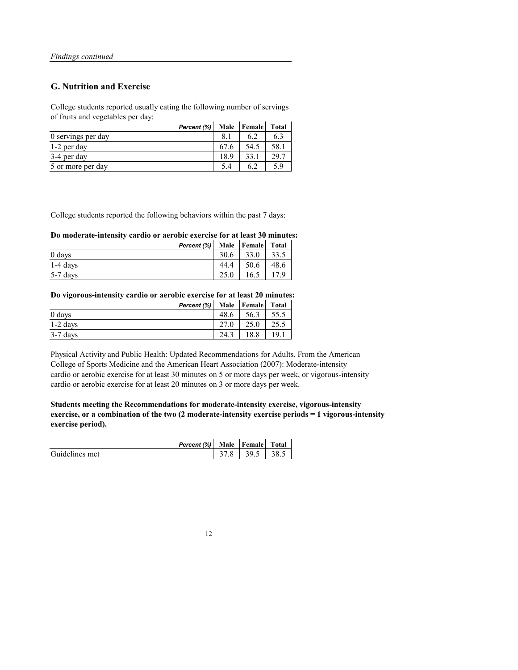#### **G. Nutrition and Exercise**

College students reported usually eating the following number of servings of fruits and vegetables per day:

| Percent (%)        |      | Male   Female | <b>Total</b> |
|--------------------|------|---------------|--------------|
| 0 servings per day | 8.1  |               |              |
| 1-2 per day        | 67.6 | 54.5          | 58.1         |
| 3-4 per day        | 18.9 | 33.1          | 29.7         |
| 5 or more per day  | 5.4  | h.            | 5.9          |

College students reported the following behaviors within the past 7 days:

#### **Do moderate-intensity cardio or aerobic exercise for at least 30 minutes:**

|            | Percent $(\%)$ |      | Male   Female | <b>Total</b> |
|------------|----------------|------|---------------|--------------|
| 0 days     |                | 30.6 | 33.0          | 33.5         |
| $1-4$ days |                | 44.4 | 50.6          | 48.6         |
| $5-7$ days |                | 25.0 | 16.5          |              |

**Do vigorous-intensity cardio or aerobic exercise for at least 20 minutes:**

|            | Percent $(\%)$ |      | Male   Female | <b>Total</b> |
|------------|----------------|------|---------------|--------------|
| 0 days     |                | 48.6 | 56.3          | 55.5         |
| $1-2$ days |                | 27.0 | 25.0          | 25.5         |
| $3-7$ days |                | 24.3 |               | 19.1         |

Physical Activity and Public Health: Updated Recommendations for Adults. From the American College of Sports Medicine and the American Heart Association (2007): Moderate-intensity cardio or aerobic exercise for at least 30 minutes on 5 or more days per week, or vigorous-intensity cardio or aerobic exercise for at least 20 minutes on 3 or more days per week.

**Students meeting the Recommendations for moderate-intensity exercise, vigorous-intensity exercise, or a combination of the two (2 moderate-intensity exercise periods = 1 vigorous-intensity exercise period).**

*Percent (%)* **Male Female Total** 

| Guidelines met |  | 39 | 38.5 |
|----------------|--|----|------|
|----------------|--|----|------|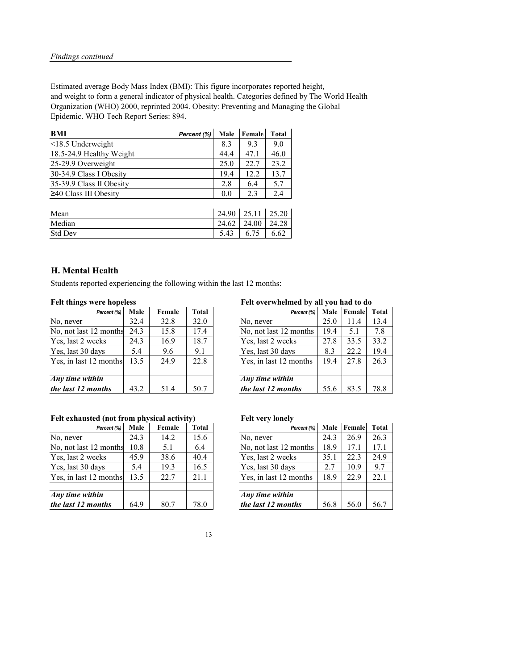Estimated average Body Mass Index (BMI): This figure incorporates reported height, and weight to form a general indicator of physical health. Categories defined by The World Health Organization (WHO) 2000, reprinted 2004. Obesity: Preventing and Managing the Global Epidemic. WHO Tech Report Series: 894.

| <b>BMI</b>                  | Percent (%) | <b>Male</b> | Female | <b>Total</b> |
|-----------------------------|-------------|-------------|--------|--------------|
| $\leq$ 18.5 Underweight     |             | 8.3         | 9.3    | 9.0          |
| 18.5-24.9 Healthy Weight    |             | 44.4        | 47.1   | 46.0         |
| 25-29.9 Overweight          |             | 25.0        | 22.7   | 23.2         |
| 30-34.9 Class I Obesity     |             | 19.4        | 12.2   | 13.7         |
| 35-39.9 Class II Obesity    |             | 2.8         | 6.4    | 5.7          |
| $\geq$ 40 Class III Obesity |             | 0.0         | 2.3    | 2.4          |
|                             |             |             |        |              |

| Mean           | $24.90$   25.11 |       | 25.20 |
|----------------|-----------------|-------|-------|
| Median         | 24.62           | 24.00 | 24.28 |
| <b>Std Dev</b> | 5.43            | 6.75  | 6.62  |

### **H. Mental Health**

Students reported experiencing the following within the last 12 months:

# **Felt things were hopeless Felt overwhelmed by all you had to do**

| Percent (%)              | <b>Male</b> | Female | <b>Total</b> | Percent (%)            | <b>Male</b> | Female | <b>Total</b> |
|--------------------------|-------------|--------|--------------|------------------------|-------------|--------|--------------|
|                          | 32.4        | 32.8   | 32.0         | No, never              | 25.0        | 11.4   | 13.4         |
| months                   | 24.3        | 15.8   | 17.4         | No, not last 12 months | 19.4        | 5.1    | 7.8          |
| eks                      | 24.3        | 16.9   | 18.7         | Yes, last 2 weeks      | 27.8        | 33.5   | 33.2         |
| iys                      | 5.4         | 9.6    | 9.1          | Yes, last 30 days      | 8.3         | 22.2   | 19.4         |
| months                   | 13.5        | 24.9   | 22.8         | Yes, in last 12 months | 19.4        | 27.8   | 26.3         |
|                          |             |        |              |                        |             |        |              |
| $\overline{\textit{in}}$ |             |        |              | <b>Any</b> time within |             |        |              |
| nths                     | 43.2        | 51.4   | 50.7         | the last 12 months     | 55.6        | 83.5   | 78.8         |

## Felt exhausted (not from physical activity) Felt very lonely

| Percent (%)            | <b>Male</b> | Female | <b>Total</b> | Percent (%)            | <b>Male</b> | Female | Total |
|------------------------|-------------|--------|--------------|------------------------|-------------|--------|-------|
| No, never              | 32.4        | 32.8   | 32.0         | No, never              | 25.0        | 11.4   | 13.4  |
| No, not last 12 months | 24.3        | 15.8   | 17.4         | No, not last 12 months | 19.4        | 5.1    | 7.8   |
| Yes, last 2 weeks      | 24.3        | 16.9   | 18.7         | Yes, last 2 weeks      | 27.8        | 33.5   | 33.2  |
| Yes, last 30 days      | 5.4         | 9.6    | 9.1          | Yes, last 30 days      | 8.3         | 22.2   | 19.4  |
| Yes, in last 12 months | 13.5        | 24.9   | 22.8         | Yes, in last 12 months | 19.4        | 27.8   | 26.3  |
|                        |             |        |              |                        |             |        |       |
| Any time within        |             |        |              | Any time within        |             |        |       |
| the last 12 months     | 43.2        | 51.4   | 50.7         | the last 12 months     | 55.6        | 83.5   | 78.8  |

|                          |             |        | $\sqrt{ }$   |                        |             |        |              |
|--------------------------|-------------|--------|--------------|------------------------|-------------|--------|--------------|
| Percent (%)              | <b>Male</b> | Female | <b>Total</b> | Percent (%)            | <b>Male</b> | Female | <b>Total</b> |
|                          | 24.3        | 14.2   | 15.6         | No, never              | 24.3        | 26.9   | 26.3         |
| 2 months                 | 10.8        | 5.1    | 6.4          | No, not last 12 months | 18.9        | 17.1   | 17.1         |
| eks                      | 45.9        | 38.6   | 40.4         | Yes, last 2 weeks      | 35.1        | 22.3   | 24.9         |
| ıys                      | 5.4         | 19.3   | 16.5         | Yes, last 30 days      | 2.7         | 10.9   | 9.7          |
| months                   | 13.5        | 22.7   | 21.1         | Yes, in last 12 months | 18.9        | 22.9   | 22.1         |
|                          |             |        |              |                        |             |        |              |
| $\overline{\mathbf{in}}$ |             |        |              | Any time within        |             |        |              |
| $n$ ths                  | 64.9        | 80.7   | 78.0         | the last 12 months     | 56.8        | 56.0   | 56.7         |

| Percent (%)            | <b>Male</b> | Female | <b>Total</b> | Percent (%)            | <b>Male</b> | Female | Tota |
|------------------------|-------------|--------|--------------|------------------------|-------------|--------|------|
| No, never              | 24.3        | 14.2   | 15.6         | No, never              | 24.3        | 26.9   | 26.3 |
| No, not last 12 months | 10.8        | 5.1    | 6.4          | No, not last 12 months | 18.9        | 17.1   | 17.1 |
| Yes, last 2 weeks      | 45.9        | 38.6   | 40.4         | Yes, last 2 weeks      | 35.1        | 22.3   | 24.9 |
| Yes, last 30 days      | 5.4         | 19.3   | 16.5         | Yes, last 30 days      | 2.7         | 10.9   | 9.7  |
| Yes, in last 12 months | 13.5        | 22.7   | 21.1         | Yes, in last 12 months | 18.9        | 22.9   | 22.1 |
|                        |             |        |              |                        |             |        |      |
| Any time within        |             |        |              | Any time within        |             |        |      |
| the last 12 months     | 64.9        | 80.7   | 78.0         | the last 12 months     | 56.8        | 56.0   | 56.7 |

| 13 |
|----|
|----|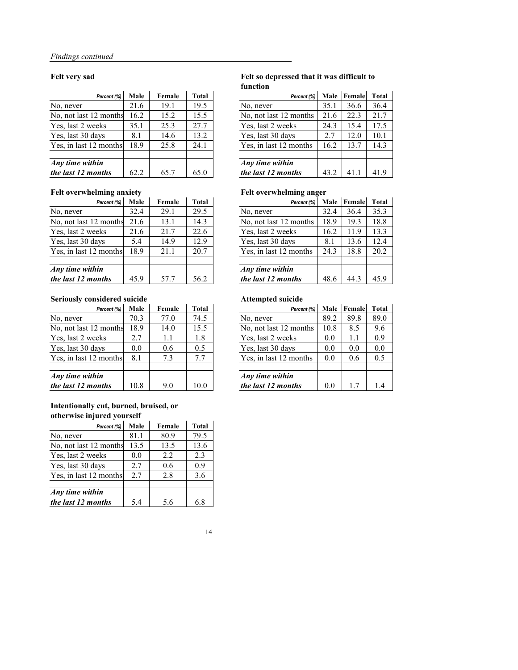#### **Felt very sad Felt so depressed that it was difficult to function**

| Percent (%) | <b>Male</b> | Female | <b>Total</b> | Percent (%)            | <b>Male</b> | Female | <b>Total</b> |
|-------------|-------------|--------|--------------|------------------------|-------------|--------|--------------|
|             | 21.6        | 19.1   | 19.5         | No, never              | 35.1        | 36.6   | 36.4         |
| months      | 16.2        | 15.2   | 15.5         | No, not last 12 months | 21.6        | 22.3   | 21.7         |
| eks         | 35.1        | 25.3   | 27.7         | Yes, last 2 weeks      | 24.3        | 15.4   | 17.5         |
| iys         | 8.1         | 14.6   | 13.2         | Yes, last 30 days      | 2.7         | 12.0   | 10.1         |
| months      | 18.9        | 25.8   | 24.1         | Yes, in last 12 months | 16.2        | 13.7   | 14.3         |
|             |             |        |              |                        |             |        |              |
| in          |             |        |              | Any time within        |             |        |              |
| nths        | 62.2        | 65.7   | 65.0         | the last 12 months     | 43.2        | 41.1   | 41.9         |

| Percent (%)            | <b>Male</b> | Female | <b>Total</b> | Percent (%)            | <b>Male</b> | Female | Total |
|------------------------|-------------|--------|--------------|------------------------|-------------|--------|-------|
| No, never              | 21.6        | 19.1   | 19.5         | No, never              | 35.1        | 36.6   | 36.4  |
| No, not last 12 months | 16.2        | 15.2   | 15.5         | No, not last 12 months | 21.6        | 22.3   | 21.7  |
| Yes, last 2 weeks      | 35.1        | 25.3   | 27.7         | Yes, last 2 weeks      | 24.3        | 15.4   | 17.5  |
| Yes, last 30 days      | 8.1         | 14.6   | 13.2         | Yes, last 30 days      | 2.7         | 12.0   | 10.1  |
| Yes, in last 12 months | 18.9        | 25.8   | 24.1         | Yes, in last 12 months | 16.2        | 13.7   | 14.3  |
|                        |             |        |              |                        |             |        |       |
| Any time within        |             |        |              | Any time within        |             |        |       |
| the last 12 months     | 62.2        | 65.7   | 65.0         | the last 12 months     | 43.2        | 41.1   | 41.9  |

#### Felt overwhelming anxiety **Felt overwhelming anger**

| $\sigma$    | $\bullet$   |        |              | $\bullet$<br>o         |             |        |              |
|-------------|-------------|--------|--------------|------------------------|-------------|--------|--------------|
| Percent (%) | <b>Male</b> | Female | <b>Total</b> | Percent (%)            | <b>Male</b> | Female | <b>Total</b> |
|             | 32.4        | 29.1   | 29.5         | No, never              | 32.4        | 36.4   | 35.3         |
| 2 months    | 21.6        | 13.1   | 14.3         | No, not last 12 months | 18.9        | 19.3   | 18.8         |
| eks         | 21.6        | 21.7   | 22.6         | Yes, last 2 weeks      | 16.2        | 11.9   | 13.3         |
| ıys         | 5.4         | 14.9   | 12.9         | Yes, last 30 days      | 8.1         | 13.6   | 12.4         |
| months      | 18.9        | 21.1   | 20.7         | Yes, in last 12 months | 24.3        | 18.8   | 20.2         |
|             |             |        |              |                        |             |        |              |
| in          |             |        |              | Any time within        |             |        |              |
| $n$ ths     | 45.9        | 57.7   | 56.2         | the last 12 months     | 48.6        | 44.3   | 45.9         |

| Percent (%)            | <b>Male</b> | Female | <b>Total</b> | Percent (%)            | <b>Male</b> | Female | Tota |
|------------------------|-------------|--------|--------------|------------------------|-------------|--------|------|
| No, never              | 32.4        | 29.1   | 29.5         | No, never              | 32.4        | 36.4   | 35.3 |
| No, not last 12 months | 21.6        | 13.1   | 14.3         | No, not last 12 months | 18.9        | 19.3   | 18.8 |
| Yes, last 2 weeks      | 21.6        | 21.7   | 22.6         | Yes, last 2 weeks      | 16.2        | 11.9   | 13.3 |
| Yes, last 30 days      | 5.4         | 14.9   | 12.9         | Yes, last 30 days      | 8.1         | 13.6   | 12.4 |
| Yes, in last 12 months | 18.9        | 21.1   | 20.7         | Yes, in last 12 months | 24.3        | 18.8   | 20.2 |
| Any time within        |             |        |              | Any time within        |             |        |      |
| the last 12 months     | 45.9        | 57.7   | 56.2         | the last 12 months     | 48.6        | 44.3   | 45.9 |

#### **Seriously considered suicide Attempted suicide**

| Percent (%) | <b>Male</b> | Female | <b>Total</b> | Percent (%)            | <b>Male</b> | Female | <b>Total</b> |
|-------------|-------------|--------|--------------|------------------------|-------------|--------|--------------|
|             | 70.3        | 77.0   | 74.5         | No, never              | 89.2        | 89.8   | 89.0         |
| months      | 18.9        | 14.0   | 15.5         | No, not last 12 months | 10.8        | 8.5    | 9.6          |
| eks         | 2.7         | 1.1    | 1.8          | Yes, last 2 weeks      | 0.0         | 1.1    | 0.9          |
| ıys         | 0.0         | 0.6    | 0.5          | Yes, last 30 days      | 0.0         | 0.0    | 0.0          |
| months      | 8.1         | 7.3    | 7.7          | Yes, in last 12 months | 0.0         | 0.6    | 0.5          |
|             |             |        |              |                        |             |        |              |
| in          |             |        |              | Any time within        |             |        |              |
| $n$ ths     | 10.8        | 9.0    | 10.0         | the last 12 months     | 0.0         | 1.7    | 1.4          |

| Percent (%)            | <b>Male</b> | Female | <b>Total</b> | Percent (%)            | <b>Male</b> | Female | Tota |
|------------------------|-------------|--------|--------------|------------------------|-------------|--------|------|
| No, never              | 70.3        | 77.0   | 74.5         | No, never              | 89.2        | 89.8   | 89.0 |
| No, not last 12 months | 18.9        | 14.0   | 15.5         | No, not last 12 months | 10.8        | 8.5    | 9.6  |
| Yes, last 2 weeks      | 2.7         | 1.1    | 1.8          | Yes, last 2 weeks      | 0.0         | 1.1    | 0.9  |
| Yes, last 30 days      | 0.0         | 0.6    | 0.5          | Yes, last 30 days      | 0.0         | 0.0    | 0.0  |
| Yes, in last 12 months | 8.1         | 7.3    | 7.7          | Yes, in last 12 months | 0.0         | 0.6    | 0.5  |
| Any time within        |             |        |              | Any time within        |             |        |      |
| the last 12 months     | 10.8        | 9.0    | 10.0         | the last 12 months     | 0.0         | 1.7    | 1.4  |

#### **Intentionally cut, burned, bruised, or otherwise injured yourself**

| Percent (%)            | <b>Male</b> | Female | <b>Total</b> |
|------------------------|-------------|--------|--------------|
| No, never              | 81.1        | 80.9   | 79.5         |
| No, not last 12 months | 13.5        | 13.5   | 13.6         |
| Yes, last 2 weeks      | 0.0         | 2.2    | 2.3          |
| Yes, last 30 days      | 2.7         | 0.6    | 0.9          |
| Yes, in last 12 months | 2.7         | 2.8    | 3.6          |
|                        |             |        |              |
| Any time within        |             |        |              |
| the last 12 months     | 5.4         | 5.6    | 6.8          |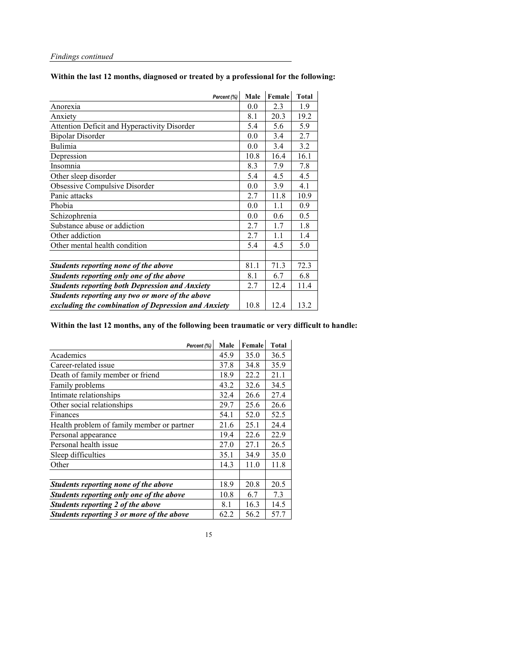**Within the last 12 months, diagnosed or treated by a professional for the following:** 

| Percent (%)                                           | <b>Male</b> | Female | <b>Total</b> |
|-------------------------------------------------------|-------------|--------|--------------|
| Anorexia                                              | 0.0         | 2.3    | 1.9          |
| Anxiety                                               | 8.1         | 20.3   | 19.2         |
| <b>Attention Deficit and Hyperactivity Disorder</b>   | 5.4         | 5.6    | 5.9          |
| <b>Bipolar Disorder</b>                               | 0.0         | 3.4    | 2.7          |
| <b>Bulimia</b>                                        | 0.0         | 3.4    | 3.2          |
| Depression                                            | 10.8        | 16.4   | 16.1         |
| Insomnia                                              | 8.3         | 7.9    | 7.8          |
| Other sleep disorder                                  | 5.4         | 4.5    | 4.5          |
| <b>Obsessive Compulsive Disorder</b>                  | 0.0         | 3.9    | 4.1          |
| Panic attacks                                         | 2.7         | 11.8   | 10.9         |
| Phobia                                                | 0.0         | 1.1    | 0.9          |
| Schizophrenia                                         | 0.0         | 0.6    | 0.5          |
| Substance abuse or addiction                          | 2.7         | 1.7    | 1.8          |
| Other addiction                                       | 2.7         | 1.1    | 1.4          |
| Other mental health condition                         | 5.4         | 4.5    | 5.0          |
|                                                       |             |        |              |
| <b>Students reporting none of the above</b>           | 81.1        | 71.3   | 72.3         |
| Students reporting only one of the above              | 8.1         | 6.7    | 6.8          |
| <b>Students reporting both Depression and Anxiety</b> | 2.7         | 12.4   | 11.4         |
| Students reporting any two or more of the above       |             |        |              |
| excluding the combination of Depression and Anxiety   | 10.8        | 12.4   | 13.2         |

### **Within the last 12 months, any of the following been traumatic or very difficult to handle:**

| Percent (%)                                | <b>Male</b> | Female | <b>Total</b> |
|--------------------------------------------|-------------|--------|--------------|
| Academics                                  | 45.9        | 35.0   | 36.5         |
| Career-related issue                       | 37.8        | 34.8   | 35.9         |
| Death of family member or friend           | 18.9        | 22.2   | 21.1         |
| Family problems                            | 43.2        | 32.6   | 34.5         |
| Intimate relationships                     | 32.4        | 26.6   | 27.4         |
| Other social relationships                 | 29.7        | 25.6   | 26.6         |
| Finances                                   | 54.1        | 52.0   | 52.5         |
| Health problem of family member or partner | 21.6        | 25.1   | 24.4         |
| Personal appearance                        | 19.4        | 22.6   | 22.9         |
| Personal health issue                      | 27.0        | 27.1   | 26.5         |
| Sleep difficulties                         | 35.1        | 34.9   | 35.0         |
| Other                                      | 14.3        | 11.0   | 11.8         |
|                                            |             |        |              |
| Students reporting none of the above       | 18.9        | 20.8   | 20.5         |
| Students reporting only one of the above   | 10.8        | 6.7    | 7.3          |
| Students reporting 2 of the above          | 8.1         | 16.3   | 14.5         |
| Students reporting 3 or more of the above  | 62.2        | 56.2   | 57.7         |

| e. | --<br>r<br>٧ |
|----|--------------|
|    |              |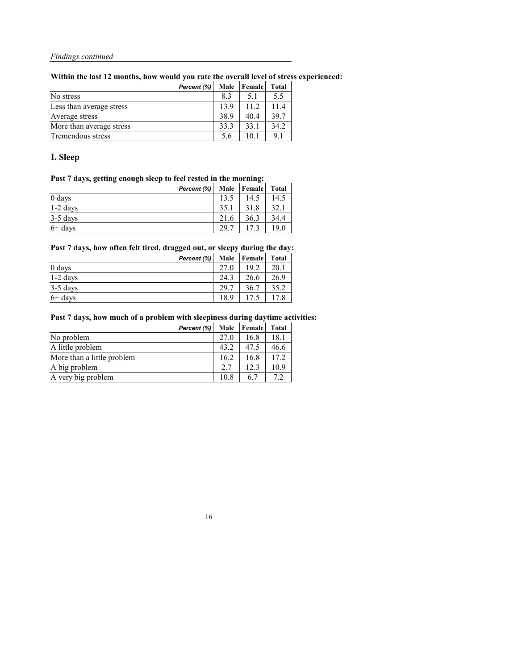**Within the last 12 months, how would you rate the overall level of stress experienced:**

| Percent (%)              | <b>Male</b> | <b>Female</b> | <b>Total</b> |
|--------------------------|-------------|---------------|--------------|
| No stress                | 8.3         | 5.1           | 5.5          |
| Less than average stress | 13.9        | 11.2          | 11.4         |
| Average stress           | 38.9        | 40.4          | 39.7         |
| More than average stress | 33.3        | 33.1          | 34.2         |
| Tremendous stress        | 5.6         | 10.1          | 9.1          |

## **I. Sleep**

## **Past 7 days, getting enough sleep to feel rested in the morning:**

| Percent (%) |      | Male   Female | <b>Total</b> |
|-------------|------|---------------|--------------|
| 0 days      | 135  | 14.5          | 14.5         |
| $1-2$ days  | 35.1 | 31.8          | 32.1         |
| 3-5 days    | 21.6 | 36.3          | 34.4         |
| $6+$ days   | 29.7 |               | 19.0         |

#### **Past 7 days, how often felt tired, dragged out, or sleepy during the day:**

|            | Percent (%) | <b>Male</b> | <b>Female</b> | <b>Total</b> |
|------------|-------------|-------------|---------------|--------------|
| 0 days     |             | 27.0        | 19.2          | 20.1         |
| 1-2 days   |             | 24.3        | 26.6          | 26.9         |
| $3-5$ days |             | 29.7        | 36.7          | 35.2         |
| $6+$ days  |             | 18.9        | 17.5          |              |

#### **Past 7 days, how much of a problem with sleepiness during daytime activities:**

|                            | Percent (%) | <b>Male</b> | <b>Female</b> | <b>Total</b> |
|----------------------------|-------------|-------------|---------------|--------------|
| No problem                 |             | 27.0        | 16.8          | 18.1         |
| A little problem           |             | 43.2        | 47.5          | 46.6         |
| More than a little problem |             | 16.2        | 16.8          | 17.2         |
| A big problem              |             | 2.7         | 12.3          | 10.9         |
| A very big problem         |             | 10.8        | 6.7           |              |